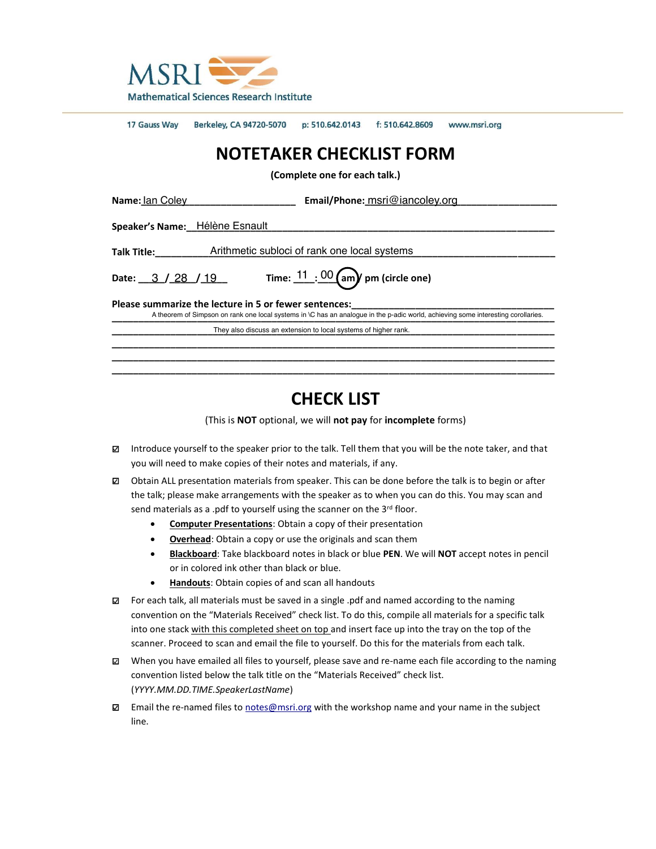

17 Gauss Way Berkeley, CA 94720-5070 p: 510.642.0143 f: 510.642.8609 www.msri.org

# **NOTETAKER CHECKLIST FORM**

**(Complete one for each talk.)**

| Name: Ian Coley                                                                                                                                                                            | <b>Email/Phone:</b> msri@iancoley.org                           |
|--------------------------------------------------------------------------------------------------------------------------------------------------------------------------------------------|-----------------------------------------------------------------|
| Speaker's Name: Hélène Esnault                                                                                                                                                             |                                                                 |
| Talk Title:                                                                                                                                                                                | Arithmetic subloci of rank one local systems                    |
| Date: $3 / 28 / 19$                                                                                                                                                                        | Time: $\underline{11}$ : $\underline{00}$ (am) pm (circle one)  |
| Please summarize the lecture in 5 or fewer sentences:<br>A theorem of Simpson on rank one local systems in \C has an analoque in the p-adic world, achieving some interesting corollaries. |                                                                 |
|                                                                                                                                                                                            | They also discuss an extension to local systems of higher rank. |
|                                                                                                                                                                                            |                                                                 |
|                                                                                                                                                                                            |                                                                 |

## **CHECK LIST**

**\_\_\_\_\_\_\_\_\_\_\_\_\_\_\_\_\_\_\_\_\_\_\_\_\_\_\_\_\_\_\_\_\_\_\_\_\_\_\_\_\_\_\_\_\_\_\_\_\_\_\_\_\_\_\_\_\_\_\_\_\_\_\_\_\_\_\_\_\_\_\_\_\_\_\_\_\_\_\_\_\_\_\_**

(This is **NOT** optional, we will **not pay** for **incomplete** forms)

- □ Introduce yourself to the speaker prior to the talk. Tell them that you will be the note taker, and that you will need to make copies of their notes and materials, if any.
- $\boxtimes$  Obtain ALL presentation materials from speaker. This can be done before the talk is to begin or after the talk; please make arrangements with the speaker as to when you can do this. You may scan and send materials as a .pdf to yourself using the scanner on the 3<sup>rd</sup> floor.
	- **Computer Presentations**: Obtain a copy of their presentation
	- **•** Overhead: Obtain a copy or use the originals and scan them
	- x **Blackboard**: Take blackboard notes in black or blue **PEN**. We will **NOT** accept notes in pencil or in colored ink other than black or blue.
	- **Handouts**: Obtain copies of and scan all handouts
- $\boxtimes$  For each talk, all materials must be saved in a single .pdf and named according to the naming convention on the "Materials Received" check list. To do this, compile all materials for a specific talk into one stack with this completed sheet on top and insert face up into the tray on the top of the scanner. Proceed to scan and email the file to yourself. Do this for the materials from each talk.
- □ When you have emailed all files to yourself, please save and re-name each file according to the naming convention listed below the talk title on the "Materials Received" check list. (*YYYY.MM.DD.TIME.SpeakerLastName*)
- □ Email the re-named files to [notes@msri.org](mailto:notes@msri.org) with the workshop name and your name in the subject line.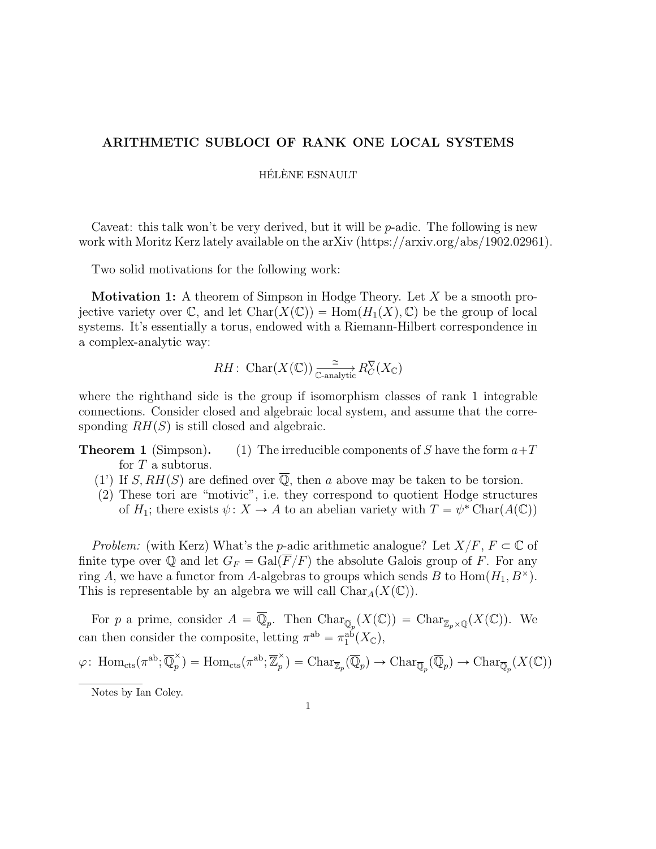### ARITHMETIC SUBLOCI OF RANK ONE LOCAL SYSTEMS

HÉLÈNE ESNAULT

Caveat: this talk won't be very derived, but it will be *p*-adic. The following is new work with Moritz Kerz lately available on the arXiv (https://arxiv.org/abs/1902.02961).

Two solid motivations for the following work:

Motivation 1: A theorem of Simpson in Hodge Theory. Let *X* be a smooth projective variety over  $\mathbb{C}$ , and let  $Char(X(\mathbb{C})) = Hom(H_1(X), \mathbb{C})$  be the group of local systems. It's essentially a torus, endowed with a Riemann-Hilbert correspondence in a complex-analytic way:

$$
RH\colon \operatorname{Char}(X(\mathbb{C})) \xrightarrow[\mathbb{C}\text{-analytic} R_C^{\nabla}(X_{\mathbb{C}})]
$$

where the righthand side is the group if isomorphism classes of rank 1 integrable connections. Consider closed and algebraic local system, and assume that the corresponding  $RH(S)$  is still closed and algebraic.

- **Theorem 1** (Simpson). (1) The irreducible components of *S* have the form  $a+T$ for *T* a subtorus.
	- (1) If *S, RH(S)* are defined over  $\overline{Q}$ , then *a* above may be taken to be torsion.
	- (2) These tori are "motivic", i.e. they correspond to quotient Hodge structures of  $H_1$ ; there exists  $\psi \colon X \to A$  to an abelian variety with  $T = \psi^* \text{Char}(A(\mathbb{C}))$

*Problem:* (with Kerz) What's the *p*-adic arithmetic analogue? Let  $X/F$ ,  $F \subset \mathbb{C}$  of finite type over  $\mathbb Q$  and let  $G_F = \text{Gal}(\overline{F}/F)$  the absolute Galois group of *F*. For any ring *A*, we have a functor from *A*-algebras to groups which sends *B* to  $Hom(H_1, B^{\times})$ . This is representable by an algebra we will call  $Char_A(X(\mathbb{C}))$ .

For *p* a prime, consider  $A = \mathbb{Q}_p$ . Then  $\text{Char}_{\overline{\mathbb{Q}}_p}(X(\mathbb{C})) = \text{Char}_{\overline{\mathbb{Z}}_p \times \mathbb{Q}}(X(\mathbb{C}))$ . We can then consider the composite, letting  $\pi^{ab} = \pi_1^{ab}(X_{\mathbb{C}})$ ,

$$
\varphi\colon \operatorname{Hom}_{\mathrm{cts}}(\pi^{\mathrm{ab}}; \overline{\mathbb{Q}}_p^{\times}) = \operatorname{Hom}_{\mathrm{cts}}(\pi^{\mathrm{ab}}; \overline{\mathbb{Z}}_p^{\times}) = \operatorname{Char}_{\overline{\mathbb{Z}}_p}(\overline{\mathbb{Q}}_p) \to \operatorname{Char}_{\overline{\mathbb{Q}}_p}(\overline{\mathbb{Q}}_p) \to \operatorname{Char}_{\overline{\mathbb{Q}}_p}(X(\mathbb{C}))
$$

Notes by Ian Coley.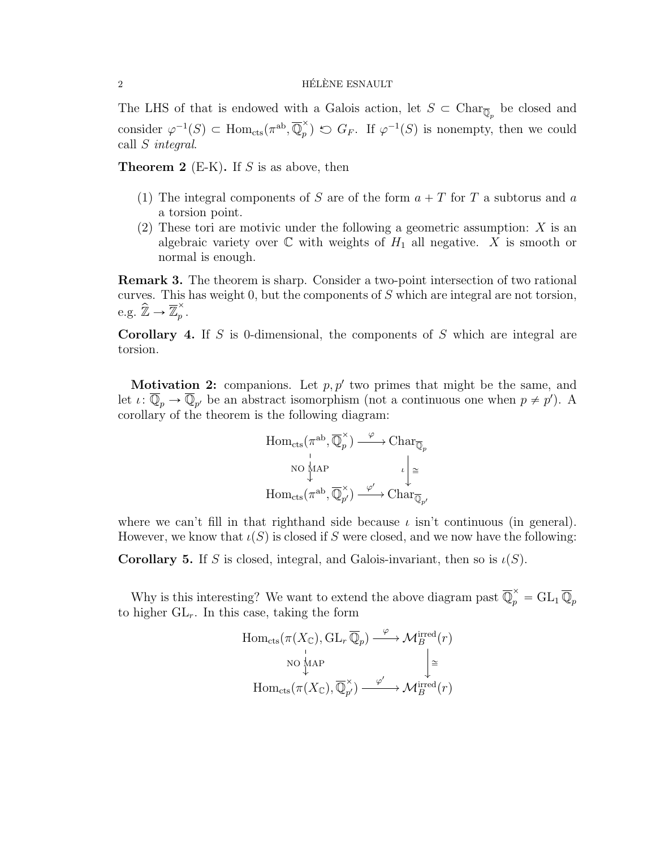#### $\overline{2}$  HÉLÈNE ESNAULT

The LHS of that is endowed with a Galois action, let  $S \subset \text{Char}_{\overline{\mathbb{Q}}_p}$  be closed and consider  $\varphi^{-1}(S) \subset \text{Hom}_{\text{cts}}(\pi^{\text{ab}}, \overline{\mathbb{Q}}_p^{\times}) \circlearrowright G_F$ . If  $\varphi^{-1}(S)$  is nonempty, then we could call *S integral*.

Theorem 2 (E-K). If *S* is as above, then

- (1) The integral components of *S* are of the form  $a + T$  for *T* a subtorus and *a* a torsion point.
- (2) These tori are motivic under the following a geometric assumption: *X* is an algebraic variety over  $\mathbb C$  with weights of  $H_1$  all negative. X is smooth or normal is enough.

Remark 3. The theorem is sharp. Consider a two-point intersection of two rational curves. This has weight 0, but the components of *S* which are integral are not torsion, e.g.  $\widehat{\mathbb{Z}} \to \overline{\mathbb{Z}}_p^{\times}$ .

Corollary 4. If *S* is 0-dimensional, the components of *S* which are integral are torsion.

**Motivation 2:** companions. Let  $p, p'$  two primes that might be the same, and let  $\iota: \mathbb{Q}_p \to \mathbb{Q}_{p'}$  be an abstract isomorphism (not a continuous one when  $p \neq p'$ ). A corollary of the theorem is the following diagram:

$$
\text{Hom}_{\text{cts}}(\pi^{\text{ab}}, \overline{\mathbb{Q}}_p^{\times}) \xrightarrow{\varphi} \text{Char}_{\overline{\mathbb{Q}}_p}
$$
\n
$$
\text{NO}_{\downarrow}^{\text{MAP}} \qquad \iota \downarrow^{\cong}
$$
\n
$$
\text{Hom}_{\text{cts}}(\pi^{\text{ab}}, \overline{\mathbb{Q}}_{p'}^{\times}) \xrightarrow{\varphi'} \text{Char}_{\overline{\mathbb{Q}}_{p'}}
$$

where we can't fill in that righthand side because  $\iota$  isn't continuous (in general). However, we know that  $\iota(S)$  is closed if *S* were closed, and we now have the following:

**Corollary 5.** If *S* is closed, integral, and Galois-invariant, then so is  $\iota(S)$ .

Why is this interesting? We want to extend the above diagram past  $\overline{\mathbb{Q}}_p^{\times} = GL_1 \overline{\mathbb{Q}}_p$ to higher  $GL_r$ . In this case, taking the form

$$
\text{Hom}_{\text{cts}}(\pi(X_{\mathbb{C}}), \text{GL}_r \overline{\mathbb{Q}}_p) \xrightarrow{\varphi} \mathcal{M}_B^{\text{irred}}(r)
$$
\n
$$
\text{no } \downarrow^{\text{MAP}} \qquad \qquad \downarrow^{\cong}
$$
\n
$$
\text{Hom}_{\text{cts}}(\pi(X_{\mathbb{C}}), \overline{\mathbb{Q}}_{p'}^{\times}) \xrightarrow{\varphi'} \mathcal{M}_B^{\text{irred}}(r)
$$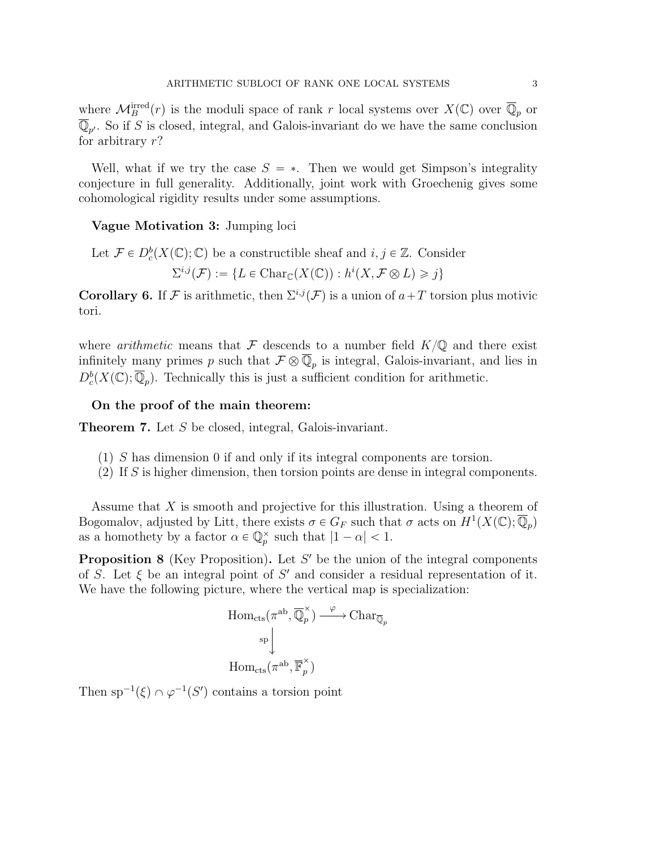where  $\mathcal{M}_B^{\text{irred}}(r)$  is the moduli space of rank *r* local systems over  $X(\mathbb{C})$  over  $\overline{\mathbb{Q}}_p$  or  $\overline{\mathbb{Q}}_{p'}$ . So if *S* is closed, integral, and Galois-invariant do we have the same conclusion for arbitrary *r*?

Well, what if we try the case  $S = *$ . Then we would get Simpson's integrality conjecture in full generality. Additionally, joint work with Groechenig gives some cohomological rigidity results under some assumptions.

#### Vague Motivation 3: Jumping loci

Let 
$$
\mathcal{F} \in D^b_c(X(\mathbb{C}); \mathbb{C})
$$
 be a constructible sheaf and  $i, j \in \mathbb{Z}$ . Consider  

$$
\Sigma^{i,j}(\mathcal{F}) := \{ L \in \text{Char}_{\mathbb{C}}(X(\mathbb{C})) : h^i(X, \mathcal{F} \otimes L) \geq j \}
$$

**Corollary 6.** If *F* is arithmetic, then  $\Sigma^{i,j}(\mathcal{F})$  is a union of  $a+T$  torsion plus motivic tori.

where *arithmetic* means that  $\mathcal F$  descends to a number field  $K/\mathbb Q$  and there exist infinitely many primes *p* such that  $\mathcal{F} \otimes \overline{\mathbb{Q}}_p$  is integral, Galois-invariant, and lies in  $D_c^b(X(\mathbb{C}); \overline{\mathbb{Q}}_p)$ . Technically this is just a sufficient condition for arithmetic.

#### On the proof of the main theorem:

Theorem 7. Let *S* be closed, integral, Galois-invariant.

- (1) *S* has dimension 0 if and only if its integral components are torsion.
- (2) If *S* is higher dimension, then torsion points are dense in integral components.

Assume that *X* is smooth and projective for this illustration. Using a theorem of Bogomalov, adjusted by Litt, there exists  $\sigma \in G_F$  such that  $\sigma$  acts on  $H^1(X(\mathbb{C}); \mathbb{Q}_p)$ as a homothety by a factor  $\alpha \in \mathbb{Q}_p^{\times}$  such that  $|1 - \alpha| < 1$ .

**Proposition 8** (Key Proposition). Let S' be the union of the integral components of *S*. Let  $\xi$  be an integral point of *S'* and consider a residual representation of it. We have the following picture, where the vertical map is specialization:

$$
\text{Hom}_{\text{cts}}(\pi^{\text{ab}}, \overline{\mathbb{Q}}_p^{\times}) \xrightarrow{\varphi} \text{Char}_{\overline{\mathbb{Q}}_p}
$$
\n
$$
\downarrow^{\text{sp}}
$$
\n
$$
\text{Hom}_{\text{cts}}(\pi^{\text{ab}}, \overline{\mathbb{F}}_p^{\times})
$$

Then  $sp^{-1}(\xi) \cap \varphi^{-1}(S')$  contains a torsion point